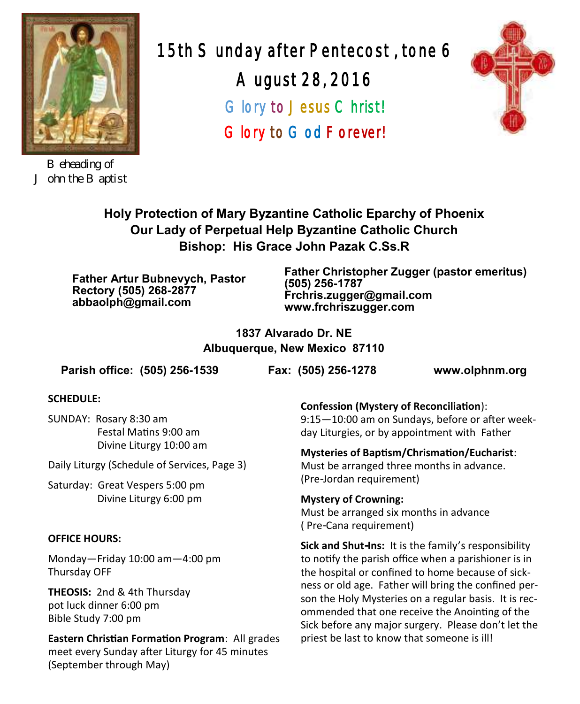

*Beheading of John the Baptist*

15th Sunday after Pentecost , tone 6 August 28, 2016 Glory to Jesus Christ! Glory to God Forever!



**Holy Protection of Mary Byzantine Catholic Eparchy of Phoenix Our Lady of Perpetual Help Byzantine Catholic Church Bishop: His Grace John Pazak C.Ss.R**

**Father Artur Bubnevych, Pastor Rectory (505) 268-2877 abbaolph@gmail.com**

**Father Christopher Zugger (pastor emeritus) (505) 256-1787 Frchris.zugger@gmail.com www.frchriszugger.com** 

**1837 Alvarado Dr. NE Albuquerque, New Mexico 87110**

**Parish office: (505) 256-1539 Fax: (505) 256-1278 www.olphnm.org**

#### **SCHEDULE:**

SUNDAY: Rosary 8:30 am Festal Matins 9:00 am Divine Liturgy 10:00 am

Daily Liturgy (Schedule of Services, Page 3)

Saturday: Great Vespers 5:00 pm Divine Liturgy 6:00 pm

#### **OFFICE HOURS:**

Monday—Friday 10:00 am—4:00 pm Thursday OFF

**THEOSIS:** 2nd & 4th Thursday pot luck dinner 6:00 pm Bible Study 7:00 pm

**Eastern Christian Formation Program**: All grades meet every Sunday after Liturgy for 45 minutes (September through May)

**Confession (Mystery of Reconciliation**):

9:15—10:00 am on Sundays, before or after weekday Liturgies, or by appointment with Father

#### **Mysteries of Baptism/Chrismation/Eucharist**:

Must be arranged three months in advance. (Pre-Jordan requirement)

**Mystery of Crowning:**  Must be arranged six months in advance ( Pre-Cana requirement)

**Sick and Shut-Ins:** It is the family's responsibility to notify the parish office when a parishioner is in the hospital or confined to home because of sickness or old age. Father will bring the confined person the Holy Mysteries on a regular basis. It is recommended that one receive the Anointing of the Sick before any major surgery. Please don't let the priest be last to know that someone is ill!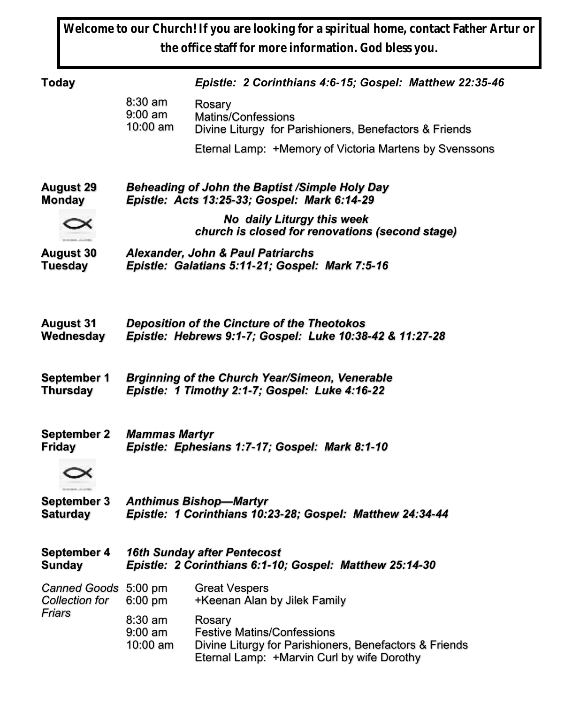**Welcome to our Church! If you are looking for a spiritual home, contact Father Artur or the office staff for more information. God bless you.**

| Today                                            |                                                                               | Epistle: 2 Corinthians 4:6-15; Gospel: Matthew 22:35-46                                                                                             |  |
|--------------------------------------------------|-------------------------------------------------------------------------------|-----------------------------------------------------------------------------------------------------------------------------------------------------|--|
|                                                  | 8:30 am<br>$9:00 \text{ am}$<br>10:00 am                                      | Rosary<br>Matins/Confessions<br>Divine Liturgy for Parishioners, Benefactors & Friends                                                              |  |
|                                                  |                                                                               | Eternal Lamp: +Memory of Victoria Martens by Svenssons                                                                                              |  |
| August 29                                        | Beheading of John the Baptist /Simple Holy Day                                |                                                                                                                                                     |  |
| Monday                                           | Epistle: Acts 13:25-33; Gospel: Mark 6:14-29                                  |                                                                                                                                                     |  |
|                                                  | No daily Liturgy this week<br>church is closed for renovations (second stage) |                                                                                                                                                     |  |
| August 30                                        | <b>Alexander, John &amp; Paul Patriarchs</b>                                  |                                                                                                                                                     |  |
| Tuesday                                          | Epistle: Galatians 5:11-21; Gospel: Mark 7:5-16                               |                                                                                                                                                     |  |
| August 31                                        | <b>Deposition of the Cincture of the Theotokos</b>                            |                                                                                                                                                     |  |
| Wednesdav                                        | Epistle: Hebrews 9:1-7; Gospel: Luke 10:38-42 & 11:27-28                      |                                                                                                                                                     |  |
| September 1                                      | <b>Brginning of the Church Year/Simeon, Venerable</b>                         |                                                                                                                                                     |  |
| Thursday                                         | Epistle: 1 Timothy 2:1-7; Gospel: Luke 4:16-22                                |                                                                                                                                                     |  |
| September 2                                      | <b>Mammas Martyr</b>                                                          |                                                                                                                                                     |  |
| Fridav                                           | Epistle: Ephesians 1:7-17; Gospel: Mark 8:1-10                                |                                                                                                                                                     |  |
| September 3                                      | <b>Anthimus Bishop-Martyr</b>                                                 |                                                                                                                                                     |  |
| Saturday                                         | Epistle: 1 Corinthians 10:23-28; Gospel: Matthew 24:34-44                     |                                                                                                                                                     |  |
| September 4                                      | <b>16th Sunday after Pentecost</b>                                            |                                                                                                                                                     |  |
| Sunday                                           | Epistle: 2 Corinthians 6:1-10; Gospel: Matthew 25:14-30                       |                                                                                                                                                     |  |
| Canned Goods 5:00 pm<br>Collection for<br>Friars | $6:00$ pm                                                                     | <b>Great Vespers</b><br>+Keenan Alan by Jilek Family                                                                                                |  |
|                                                  | 8:30 am<br>$9:00 \text{ am}$<br>10:00 am                                      | Rosary<br><b>Festive Matins/Confessions</b><br>Divine Liturgy for Parishioners, Benefactors & Friends<br>Eternal Lamp: +Marvin Curl by wife Dorothy |  |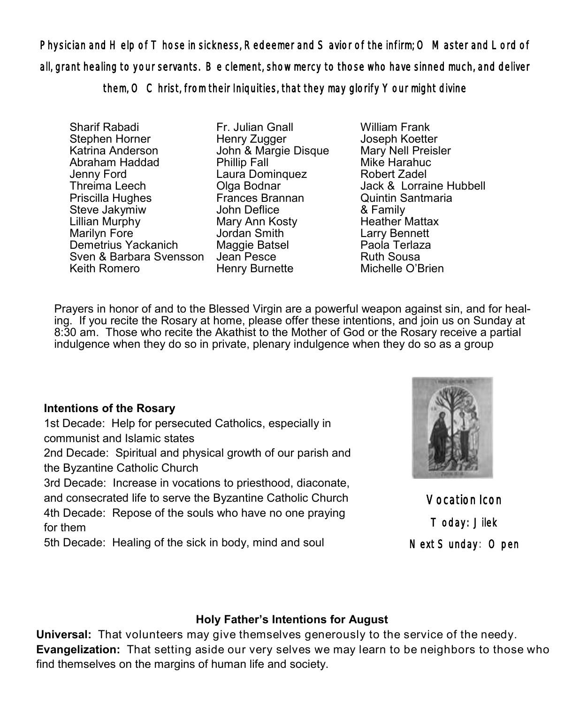Physician and Help of Those in sickness, Redeemer and Savior of the infirm; O Master and Lord of all, grant healing to your servants. Be clement, show mercy to those who have sinned much, and deliver them, O Christ, from their Iniquities, that they may glorify Your might divine

Sharif Rabadi Stephen Horner Katrina Anderson Abraham Haddad Jenny Ford Threima Leech Priscilla Hughes Steve Jakymiw Lillian Murphy Marilyn Fore Demetrius Yackanich Sven & Barbara Svensson Jean Pesce Keith Romero

Fr. Julian Gnall Henry Zugger John & Margie Disque Phillip Fall Laura Dominquez Olga Bodnar Frances Brannan John Deflice Mary Ann Kosty Jordan Smith Maggie Batsel Henry Burnette

William Frank Joseph Koetter Mary Nell Preisler Mike Harahuc Robert Zadel Jack & Lorraine Hubbell Quintin Santmaria & Family Heather Mattax Larry Bennett Paola Terlaza Ruth Sousa Michelle O'Brien

Prayers in honor of and to the Blessed Virgin are a powerful weapon against sin, and for healing. If you recite the Rosary at home, please offer these intentions, and join us on Sunday at 8:30 am. Those who recite the Akathist to the Mother of God or the Rosary receive a partial indulgence when they do so in private, plenary indulgence when they do so as a group

### **Intentions of the Rosary**

1st Decade: Help for persecuted Catholics, especially in communist and Islamic states 2nd Decade: Spiritual and physical growth of our parish and the Byzantine Catholic Church

3rd Decade: Increase in vocations to priesthood, diaconate, and consecrated life to serve the Byzantine Catholic Church 4th Decade: Repose of the souls who have no one praying for them

5th Decade: Healing of the sick in body, mind and soul



Vocation Icon Today: Jilek Next Sunday: Open

### **Holy Father's Intentions for August**

**Universal:** That volunteers may give themselves generously to the service of the needy. **Evangelization:** That setting aside our very selves we may learn to be neighbors to those who find themselves on the margins of human life and society.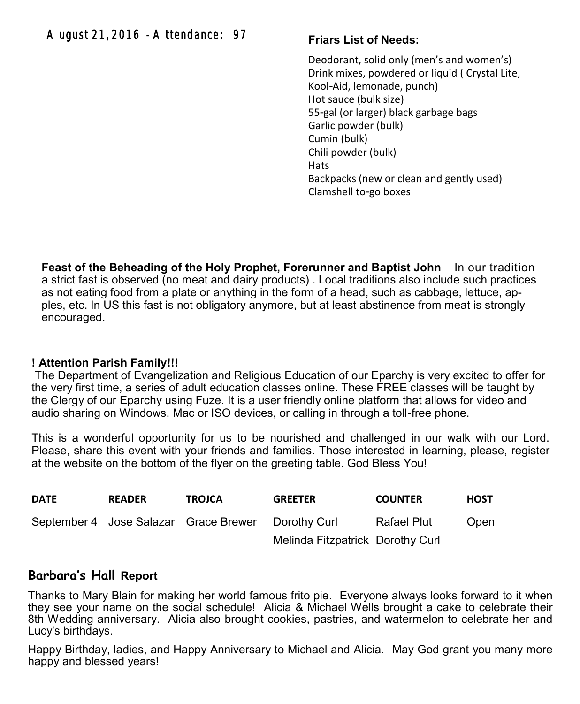### **Friars List of Needs:**

Deodorant, solid only (men's and women's) Drink mixes, powdered or liquid ( Crystal Lite, Kool-Aid, lemonade, punch) Hot sauce (bulk size) 55-gal (or larger) black garbage bags Garlic powder (bulk) Cumin (bulk) Chili powder (bulk) Hats Backpacks (new or clean and gently used) Clamshell to-go boxes

**Feast of the Beheading of the Holy Prophet, Forerunner and Baptist John** In our tradition a strict fast is observed (no meat and dairy products) . Local traditions also include such practices as not eating food from a plate or anything in the form of a head, such as cabbage, lettuce, apples, etc. In US this fast is not obligatory anymore, but at least abstinence from meat is strongly encouraged.

### **! Attention Parish Family!!!**

The Department of Evangelization and Religious Education of our Eparchy is very excited to offer for the very first time, a series of adult education classes online. These FREE classes will be taught by the Clergy of our Eparchy using Fuze. It is a user friendly online platform that allows for video and audio sharing on Windows, Mac or ISO devices, or calling in through a toll-free phone.

This is a wonderful opportunity for us to be nourished and challenged in our walk with our Lord. Please, share this event with your friends and families. Those interested in learning, please, register at the website on the bottom of the flyer on the greeting table. God Bless You!

| <b>DATE</b> | <b>READER</b> | <b>TROJCA</b>                         | <b>GREETER</b>                   | <b>COUNTER</b>     | <b>HOST</b> |
|-------------|---------------|---------------------------------------|----------------------------------|--------------------|-------------|
|             |               | September 4 Jose Salazar Grace Brewer | Dorothy Curl                     | <b>Rafael Plut</b> | Open        |
|             |               |                                       | Melinda Fitzpatrick Dorothy Curl |                    |             |

### **Barbara's Hall Report**

Thanks to Mary Blain for making her world famous frito pie. Everyone always looks forward to it when they see your name on the social schedule! Alicia & Michael Wells brought a cake to celebrate their 8th Wedding anniversary. Alicia also brought cookies, pastries, and watermelon to celebrate her and Lucy's birthdays.

Happy Birthday, ladies, and Happy Anniversary to Michael and Alicia. May God grant you many more happy and blessed years!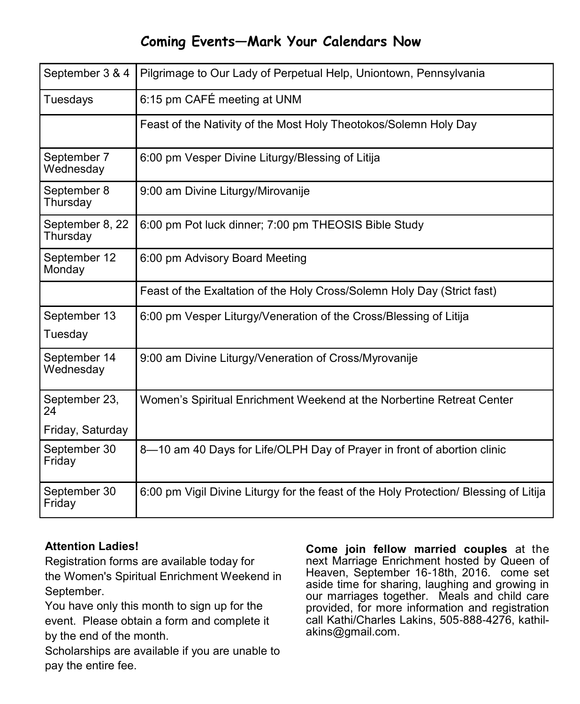# **Coming Events—Mark Your Calendars Now**

| September 3 & 4             | Pilgrimage to Our Lady of Perpetual Help, Uniontown, Pennsylvania                     |  |  |
|-----------------------------|---------------------------------------------------------------------------------------|--|--|
| Tuesdays                    | 6:15 pm CAFÉ meeting at UNM                                                           |  |  |
|                             | Feast of the Nativity of the Most Holy Theotokos/Solemn Holy Day                      |  |  |
| September 7<br>Wednesday    | 6:00 pm Vesper Divine Liturgy/Blessing of Litija                                      |  |  |
| September 8<br>Thursday     | 9:00 am Divine Liturgy/Mirovanije                                                     |  |  |
| September 8, 22<br>Thursday | 6:00 pm Pot luck dinner; 7:00 pm THEOSIS Bible Study                                  |  |  |
| September 12<br>Monday      | 6:00 pm Advisory Board Meeting                                                        |  |  |
|                             | Feast of the Exaltation of the Holy Cross/Solemn Holy Day (Strict fast)               |  |  |
| September 13<br>Tuesday     | 6:00 pm Vesper Liturgy/Veneration of the Cross/Blessing of Litija                     |  |  |
| September 14<br>Wednesday   | 9:00 am Divine Liturgy/Veneration of Cross/Myrovanije                                 |  |  |
| September 23,<br>24         | Women's Spiritual Enrichment Weekend at the Norbertine Retreat Center                 |  |  |
| Friday, Saturday            |                                                                                       |  |  |
| September 30<br>Friday      | 8-10 am 40 Days for Life/OLPH Day of Prayer in front of abortion clinic               |  |  |
| September 30<br>Friday      | 6:00 pm Vigil Divine Liturgy for the feast of the Holy Protection/ Blessing of Litija |  |  |

### **Attention Ladies!**

Registration forms are available today for the Women's Spiritual Enrichment Weekend in September.

You have only this month to sign up for the event. Please obtain a form and complete it by the end of the month.

Scholarships are available if you are unable to pay the entire fee.

**Come join fellow married couples** at the next Marriage Enrichment hosted by Queen of Heaven, September 16-18th, 2016. come set aside time for sharing, laughing and growing in our marriages together. Meals and child care provided, for more information and registration call Kathi/Charles Lakins, 505-888-4276, kathilakins@gmail.com.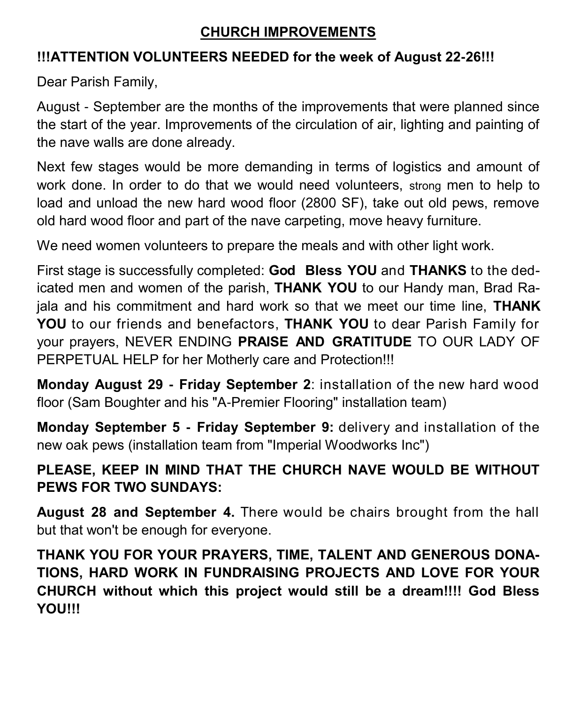# **CHURCH IMPROVEMENTS**

# **!!!ATTENTION VOLUNTEERS NEEDED for the week of August 22-26!!!**

Dear Parish Family,

August - September are the months of the improvements that were planned since the start of the year. Improvements of the circulation of air, lighting and painting of the nave walls are done already.

Next few stages would be more demanding in terms of logistics and amount of work done. In order to do that we would need volunteers, strong men to help to load and unload the new hard wood floor (2800 SF), take out old pews, remove old hard wood floor and part of the nave carpeting, move heavy furniture.

We need women volunteers to prepare the meals and with other light work.

First stage is successfully completed: **God Bless YOU** and **THANKS** to the dedicated men and women of the parish, **THANK YOU** to our Handy man, Brad Rajala and his commitment and hard work so that we meet our time line, **THANK YOU** to our friends and benefactors, **THANK YOU** to dear Parish Family for your prayers, NEVER ENDING **PRAISE AND GRATITUDE** TO OUR LADY OF PERPETUAL HELP for her Motherly care and Protection!!!

**Monday August 29 - Friday September 2**: installation of the new hard wood floor (Sam Boughter and his "A-Premier Flooring" installation team)

**Monday September 5 - Friday September 9:** delivery and installation of the new oak pews (installation team from "Imperial Woodworks Inc")

# **PLEASE, KEEP IN MIND THAT THE CHURCH NAVE WOULD BE WITHOUT PEWS FOR TWO SUNDAYS:**

**August 28 and September 4.** There would be chairs brought from the hall but that won't be enough for everyone.

**THANK YOU FOR YOUR PRAYERS, TIME, TALENT AND GENEROUS DONA-TIONS, HARD WORK IN FUNDRAISING PROJECTS AND LOVE FOR YOUR CHURCH without which this project would still be a dream!!!! God Bless YOU!!!**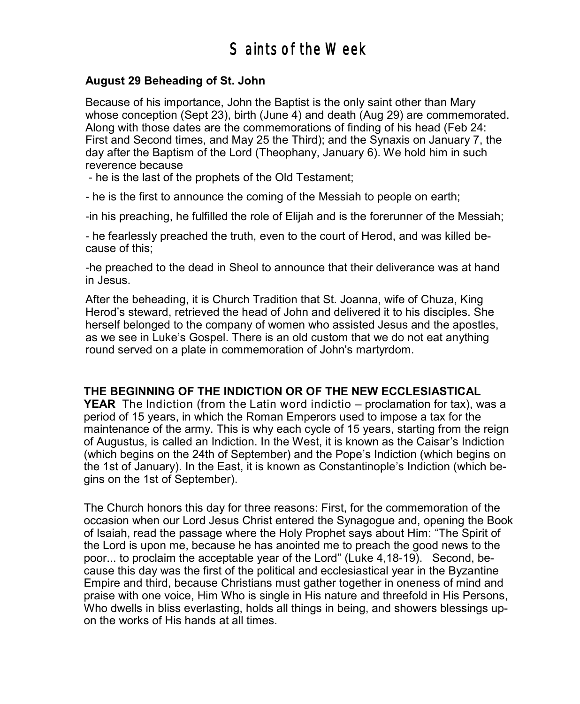### **August 29 Beheading of St. John**

Because of his importance, John the Baptist is the only saint other than Mary whose conception (Sept 23), birth (June 4) and death (Aug 29) are commemorated. Along with those dates are the commemorations of finding of his head (Feb 24: First and Second times, and May 25 the Third); and the Synaxis on January 7, the day after the Baptism of the Lord (Theophany, January 6). We hold him in such reverence because

- he is the last of the prophets of the Old Testament;

- he is the first to announce the coming of the Messiah to people on earth;

-in his preaching, he fulfilled the role of Elijah and is the forerunner of the Messiah;

- he fearlessly preached the truth, even to the court of Herod, and was killed because of this;

-he preached to the dead in Sheol to announce that their deliverance was at hand in Jesus.

After the beheading, it is Church Tradition that St. Joanna, wife of Chuza, King Herod's steward, retrieved the head of John and delivered it to his disciples. She herself belonged to the company of women who assisted Jesus and the apostles, as we see in Luke's Gospel. There is an old custom that we do not eat anything round served on a plate in commemoration of John's martyrdom.

#### **THE BEGINNING OF THE INDICTION OR OF THE NEW ECCLESIASTICAL**

**YEAR** The Indiction (from the Latin word indictio – proclamation for tax), was a period of 15 years, in which the Roman Emperors used to impose a tax for the maintenance of the army. This is why each cycle of 15 years, starting from the reign of Augustus, is called an Indiction. In the West, it is known as the Caisar's Indiction (which begins on the 24th of September) and the Pope's Indiction (which begins on the 1st of January). In the East, it is known as Constantinople's Indiction (which begins on the 1st of September).

The Church honors this day for three reasons: First, for the commemoration of the occasion when our Lord Jesus Christ entered the Synagogue and, opening the Book of Isaiah, read the passage where the Holy Prophet says about Him: "The Spirit of the Lord is upon me, because he has anointed me to preach the good news to the poor... to proclaim the acceptable year of the Lord" (Luke 4,18-19). Second, because this day was the first of the political and ecclesiastical year in the Byzantine Empire and third, because Christians must gather together in oneness of mind and praise with one voice, Him Who is single in His nature and threefold in His Persons, Who dwells in bliss everlasting, holds all things in being, and showers blessings upon the works of His hands at all times.